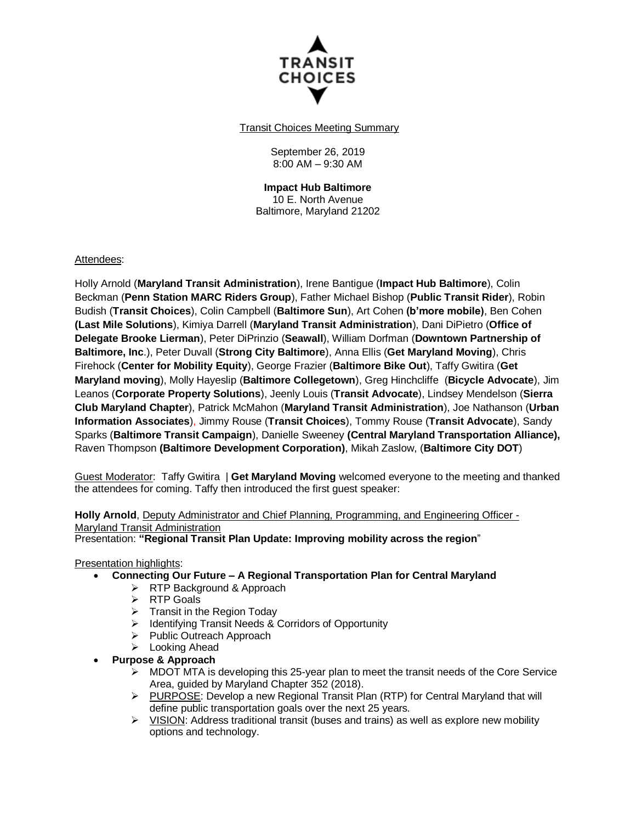

Transit Choices Meeting Summary

September 26, 2019 8:00 AM – 9:30 AM

**Impact Hub Baltimore** 10 E. North Avenue Baltimore, Maryland 21202

Attendees:

Holly Arnold (**Maryland Transit Administration**), Irene Bantigue (**Impact Hub Baltimore**), Colin Beckman (**Penn Station MARC Riders Group**), Father Michael Bishop (**Public Transit Rider**), Robin Budish (**Transit Choices**), Colin Campbell (**Baltimore Sun**), Art Cohen **(b'more mobile)**, Ben Cohen **(Last Mile Solutions**), Kimiya Darrell (**Maryland Transit Administration**), Dani DiPietro (**Office of Delegate Brooke Lierman**), Peter DiPrinzio (**Seawall**), William Dorfman (**Downtown Partnership of Baltimore, Inc**.), Peter Duvall (**Strong City Baltimore**), Anna Ellis (**Get Maryland Moving**), Chris Firehock (**Center for Mobility Equity**), George Frazier (**Baltimore Bike Out**), Taffy Gwitira (**Get Maryland moving**), Molly Hayeslip (**Baltimore Collegetown**), Greg Hinchcliffe (**Bicycle Advocate**), Jim Leanos (**Corporate Property Solutions**), Jeenly Louis (**Transit Advocate**), Lindsey Mendelson (**Sierra Club Maryland Chapter**), Patrick McMahon (**Maryland Transit Administration**), Joe Nathanson (**Urban Information Associates**), Jimmy Rouse (**Transit Choices**), Tommy Rouse (**Transit Advocate**), Sandy Sparks (**Baltimore Transit Campaign**), Danielle Sweeney **(Central Maryland Transportation Alliance),**  Raven Thompson **(Baltimore Development Corporation)**, Mikah Zaslow, (**Baltimore City DOT**)

Guest Moderator: Taffy Gwitira | **Get Maryland Moving** welcomed everyone to the meeting and thanked the attendees for coming. Taffy then introduced the first guest speaker:

**Holly Arnold**, Deputy Administrator and Chief Planning, Programming, and Engineering Officer - Maryland Transit Administration

Presentation: **"Regional Transit Plan Update: Improving mobility across the region**"

Presentation highlights:

- **Connecting Our Future – A Regional Transportation Plan for Central Maryland**
	- $\triangleright$  RTP Background & Approach
	- $\triangleright$  RTP Goals
	- $\triangleright$  Transit in the Region Today
	- $\triangleright$  Identifying Transit Needs & Corridors of Opportunity<br>  $\triangleright$  Public Outreach Approach
	- Public Outreach Approach
	- **EXED** Looking Ahead
- **Purpose & Approach**
	- $\triangleright$  MDOT MTA is developing this 25-year plan to meet the transit needs of the Core Service Area, guided by Maryland Chapter 352 (2018).
	- $\triangleright$  PURPOSE: Develop a new Regional Transit Plan (RTP) for Central Maryland that will define public transportation goals over the next 25 years.
	- $\triangleright$  VISION: Address traditional transit (buses and trains) as well as explore new mobility options and technology.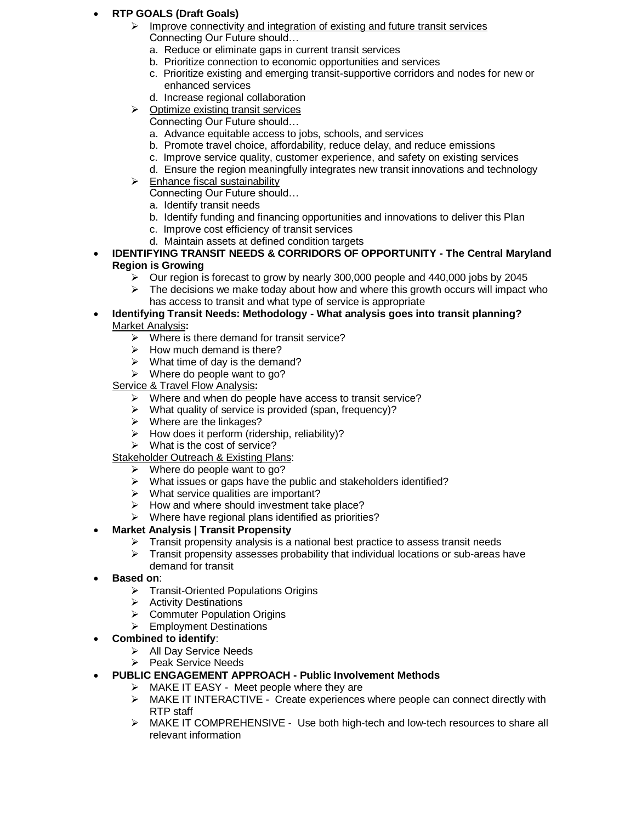### **RTP GOALS (Draft Goals)**

- Improve connectivity and integration of existing and future transit services Connecting Our Future should…
	- a. Reduce or eliminate gaps in current transit services
	- b. Prioritize connection to economic opportunities and services
	- c. Prioritize existing and emerging transit-supportive corridors and nodes for new or enhanced services
	- d. Increase regional collaboration
- $\triangleright$  Optimize existing transit services
	- Connecting Our Future should…
	- a. Advance equitable access to jobs, schools, and services
	- b. Promote travel choice, affordability, reduce delay, and reduce emissions
	- c. Improve service quality, customer experience, and safety on existing services
	- d. Ensure the region meaningfully integrates new transit innovations and technology
- $\triangleright$  Enhance fiscal sustainability

Connecting Our Future should…

- a. Identify transit needs
- b. Identify funding and financing opportunities and innovations to deliver this Plan
- c. Improve cost efficiency of transit services
- d. Maintain assets at defined condition targets
- **IDENTIFYING TRANSIT NEEDS & CORRIDORS OF OPPORTUNITY - The Central Maryland Region is Growing**
	- $\triangleright$  Our region is forecast to grow by nearly 300,000 people and 440,000 jobs by 2045
	- $\triangleright$  The decisions we make today about how and where this growth occurs will impact who has access to transit and what type of service is appropriate
- **Identifying Transit Needs: Methodology - What analysis goes into transit planning?** Market Analysis**:**
	- $\triangleright$  Where is there demand for transit service?
	- $\triangleright$  How much demand is there?
	- $\triangleright$  What time of day is the demand?
	- $\triangleright$  Where do people want to go?
	- Service & Travel Flow Analysis**:**
		- $\triangleright$  Where and when do people have access to transit service?
		- $\triangleright$  What quality of service is provided (span, frequency)?
		- $\triangleright$  Where are the linkages?
		- $\triangleright$  Writters are the image of the extended the How does it perform (ridership, reliability)?
		- $\triangleright$  What is the cost of service?
	- Stakeholder Outreach & Existing Plans:
		- $\triangleright$  Where do people want to go?
		- $\triangleright$  What issues or gaps have the public and stakeholders identified?
		- $\triangleright$  What service qualities are important?
		- $\triangleright$  How and where should investment take place?
		- $\triangleright$  Where have regional plans identified as priorities?
- **Market Analysis | Transit Propensity**
	- $\triangleright$  Transit propensity analysis is a national best practice to assess transit needs
	- $\triangleright$  Transit propensity assesses probability that individual locations or sub-areas have demand for transit
- **Based on**:
	- > Transit-Oriented Populations Origins
	- $\triangleright$  Activity Destinations
	- ▶ Commuter Population Origins
	- $\triangleright$  Employment Destinations
- **Combined to identify**:
	- > All Day Service Needs
	- $\triangleright$  Peak Service Needs
- **PUBLIC ENGAGEMENT APPROACH - Public Involvement Methods**
	- > MAKE IT EASY Meet people where they are
	- $\triangleright$  MAKE IT INTERACTIVE Create experiences where people can connect directly with RTP staff
	- > MAKE IT COMPREHENSIVE Use both high-tech and low-tech resources to share all relevant information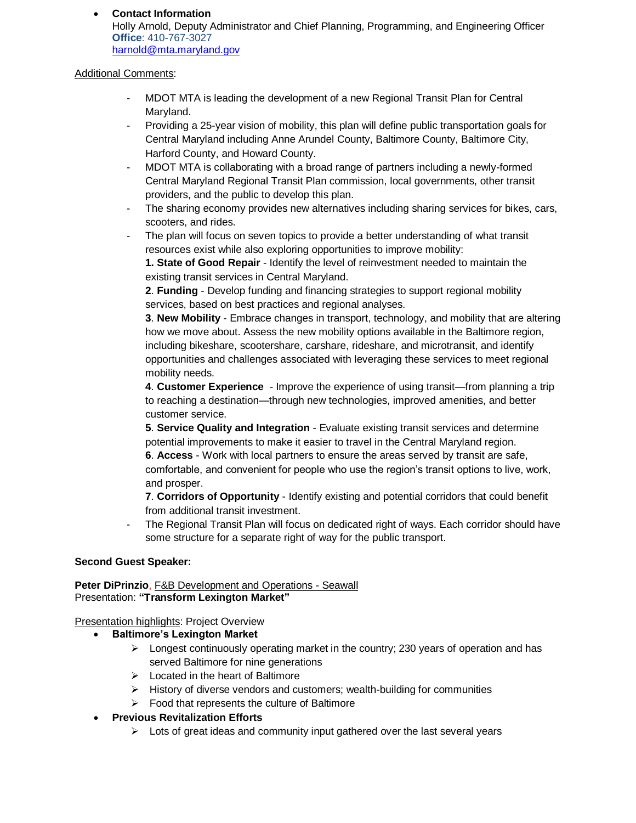**Contact Information** Holly Arnold, Deputy Administrator and Chief Planning, Programming, and Engineering Officer **Office**: 410-767-3027 [harnold@mta.maryland.gov](mailto:harnold@mta.maryland.gov)

### Additional Comments:

- MDOT MTA is leading the development of a new Regional Transit Plan for Central Maryland.
- Providing a 25-year vision of mobility, this plan will define public transportation goals for Central Maryland including Anne Arundel County, Baltimore County, Baltimore City, Harford County, and Howard County.
- MDOT MTA is collaborating with a broad range of partners including a newly-formed Central Maryland Regional Transit Plan commission, local governments, other transit providers, and the public to develop this plan.
- The sharing economy provides new alternatives including sharing services for bikes, cars, scooters, and rides.
- The plan will focus on seven topics to provide a better understanding of what transit resources exist while also exploring opportunities to improve mobility:

**1. State of Good Repair** - Identify the level of reinvestment needed to maintain the existing transit services in Central Maryland.

**2**. **Funding** - Develop funding and financing strategies to support regional mobility services, based on best practices and regional analyses.

**3**. **New Mobility** - Embrace changes in transport, technology, and mobility that are altering how we move about. Assess the new mobility options available in the Baltimore region, including bikeshare, scootershare, carshare, rideshare, and microtransit, and identify opportunities and challenges associated with leveraging these services to meet regional mobility needs.

**4**. **Customer Experience** - Improve the experience of using transit—from planning a trip to reaching a destination—through new technologies, improved amenities, and better customer service.

**5**. **Service Quality and Integration** - Evaluate existing transit services and determine potential improvements to make it easier to travel in the Central Maryland region.

**6**. **Access** - Work with local partners to ensure the areas served by transit are safe, comfortable, and convenient for people who use the region's transit options to live, work, and prosper.

**7**. **Corridors of Opportunity** - Identify existing and potential corridors that could benefit from additional transit investment.

The Regional Transit Plan will focus on dedicated right of ways. Each corridor should have some structure for a separate right of way for the public transport.

# **Second Guest Speaker:**

**Peter DiPrinzio**, F&B Development and Operations - Seawall Presentation: **"Transform Lexington Market"**

# Presentation highlights: Project Overview

- **Baltimore's Lexington Market**
	- $\triangleright$  Longest continuously operating market in the country; 230 years of operation and has served Baltimore for nine generations
	- $\triangleright$  Located in the heart of Baltimore
	- $\triangleright$  History of diverse vendors and customers; wealth-building for communities
	- $\triangleright$  Food that represents the culture of Baltimore
- **Previous Revitalization Efforts**
	- $\triangleright$  Lots of great ideas and community input gathered over the last several years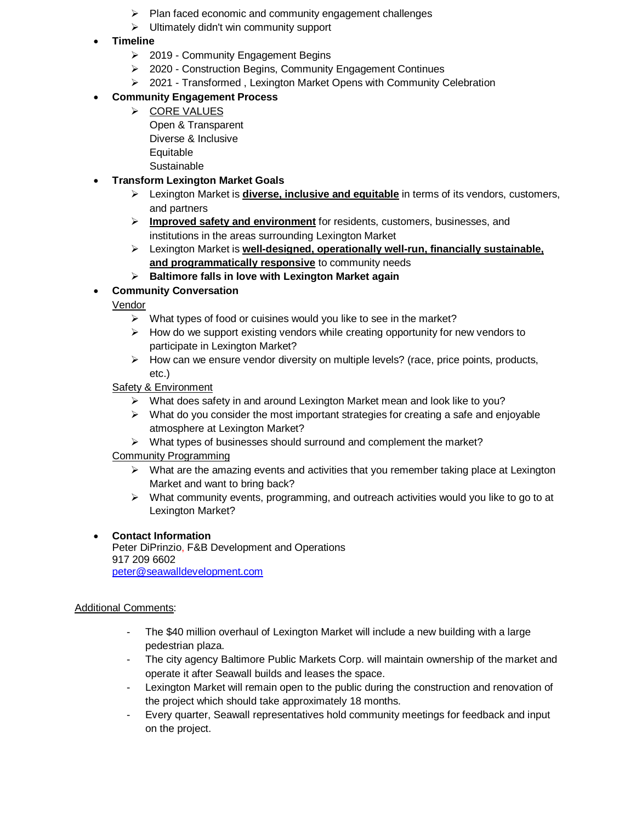- $\triangleright$  Plan faced economic and community engagement challenges
- $\triangleright$  Ultimately didn't win community support
- **Timeline**
	- $\geq$  2019 Community Engagement Begins
	- 2020 Construction Begins, Community Engagement Continues
	- $\geq$  2021 Transformed, Lexington Market Opens with Community Celebration
- **Community Engagement Process**
	- **EXALLES** 
		- Open & Transparent Diverse & Inclusive Equitable **Sustainable**

# **Transform Lexington Market Goals**

- Lexington Market is **diverse, inclusive and equitable** in terms of its vendors, customers, and partners
- **Improved safety and environment** for residents, customers, businesses, and institutions in the areas surrounding Lexington Market
- Lexington Market is **well-designed, operationally well-run, financially sustainable, and programmatically responsive** to community needs
- **Baltimore falls in love with Lexington Market again**

# **Community Conversation**

- Vendor
	- $\triangleright$  What types of food or cuisines would you like to see in the market?
	- $\triangleright$  How do we support existing vendors while creating opportunity for new vendors to participate in Lexington Market?
	- $\triangleright$  How can we ensure vendor diversity on multiple levels? (race, price points, products, etc.)

### **Safety & Environment**

- $\triangleright$  What does safety in and around Lexington Market mean and look like to you?
- $\triangleright$  What do you consider the most important strategies for creating a safe and enjoyable atmosphere at Lexington Market?
- $\triangleright$  What types of businesses should surround and complement the market?

# Community Programming

- $\triangleright$  What are the amazing events and activities that you remember taking place at Lexington Market and want to bring back?
- $\triangleright$  What community events, programming, and outreach activities would you like to go to at Lexington Market?

# **Contact Information**

Peter DiPrinzio, F&B Development and Operations 917 209 6602 [peter@seawalldevelopment.com](mailto:peter@seawalldevelopment.com)

### Additional Comments:

- The \$40 million overhaul of Lexington Market will include a new building with a large pedestrian plaza.
- The city agency Baltimore Public Markets Corp. will maintain ownership of the market and operate it after Seawall builds and leases the space.
- Lexington Market will remain open to the public during the construction and renovation of the project which should take approximately 18 months.
- Every quarter, Seawall representatives hold community meetings for feedback and input on the project.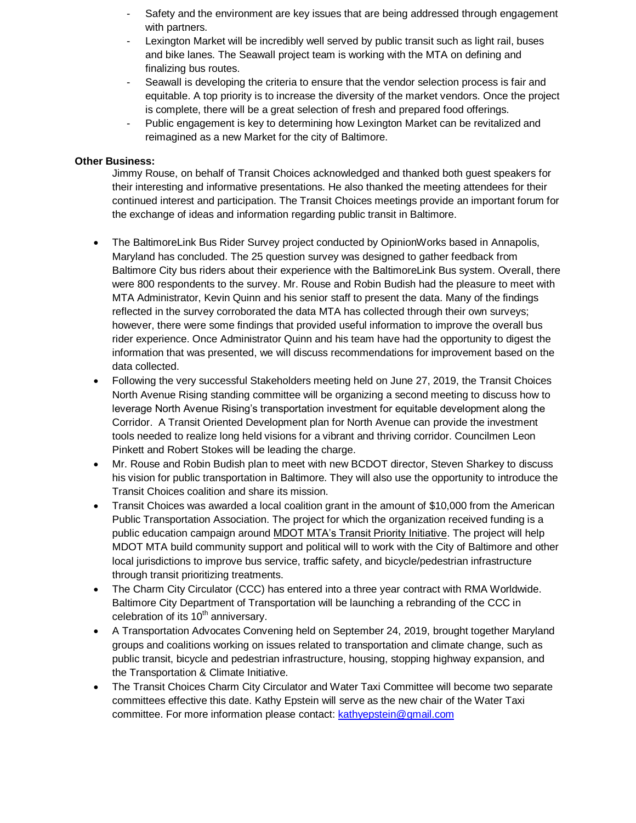- Safety and the environment are key issues that are being addressed through engagement with partners.
- Lexington Market will be incredibly well served by public transit such as light rail, buses and bike lanes. The Seawall project team is working with the MTA on defining and finalizing bus routes.
- Seawall is developing the criteria to ensure that the vendor selection process is fair and equitable. A top priority is to increase the diversity of the market vendors. Once the project is complete, there will be a great selection of fresh and prepared food offerings.
- Public engagement is key to determining how Lexington Market can be revitalized and reimagined as a new Market for the city of Baltimore.

#### **Other Business:**

Jimmy Rouse, on behalf of Transit Choices acknowledged and thanked both guest speakers for their interesting and informative presentations. He also thanked the meeting attendees for their continued interest and participation. The Transit Choices meetings provide an important forum for the exchange of ideas and information regarding public transit in Baltimore.

- The BaltimoreLink Bus Rider Survey project conducted by OpinionWorks based in Annapolis, Maryland has concluded. The 25 question survey was designed to gather feedback from Baltimore City bus riders about their experience with the BaltimoreLink Bus system. Overall, there were 800 respondents to the survey. Mr. Rouse and Robin Budish had the pleasure to meet with MTA Administrator, Kevin Quinn and his senior staff to present the data. Many of the findings reflected in the survey corroborated the data MTA has collected through their own surveys; however, there were some findings that provided useful information to improve the overall bus rider experience. Once Administrator Quinn and his team have had the opportunity to digest the information that was presented, we will discuss recommendations for improvement based on the data collected.
- Following the very successful Stakeholders meeting held on June 27, 2019, the Transit Choices North Avenue Rising standing committee will be organizing a second meeting to discuss how to leverage North Avenue Rising's transportation investment for equitable development along the Corridor. A Transit Oriented Development plan for North Avenue can provide the investment tools needed to realize long held visions for a vibrant and thriving corridor. Councilmen Leon Pinkett and Robert Stokes will be leading the charge.
- Mr. Rouse and Robin Budish plan to meet with new BCDOT director, Steven Sharkey to discuss his vision for public transportation in Baltimore. They will also use the opportunity to introduce the Transit Choices coalition and share its mission.
- Transit Choices was awarded a local coalition grant in the amount of \$10,000 from the American Public Transportation Association. The project for which the organization received funding is a public education campaign around [MDOT MTA's Transit Priority Initiative.](https://www.mta.maryland.gov/transit-priority-initiative) The project will help MDOT MTA build community support and political will to work with the City of Baltimore and other local jurisdictions to improve bus service, traffic safety, and bicycle/pedestrian infrastructure through transit prioritizing treatments.
- The Charm City Circulator (CCC) has entered into a three year contract with RMA Worldwide. Baltimore City Department of Transportation will be launching a rebranding of the CCC in celebration of its  $10<sup>th</sup>$  anniversary.
- A Transportation Advocates Convening held on September 24, 2019, brought together Maryland groups and coalitions working on issues related to transportation and climate change, such as public transit, bicycle and pedestrian infrastructure, housing, stopping highway expansion, and the Transportation & Climate Initiative.
- The Transit Choices Charm City Circulator and Water Taxi Committee will become two separate committees effective this date. Kathy Epstein will serve as the new chair of the Water Taxi committee. For more information please contact: [kathyepstein@gmail.com](mailto:kathyepstein@gmail.com)